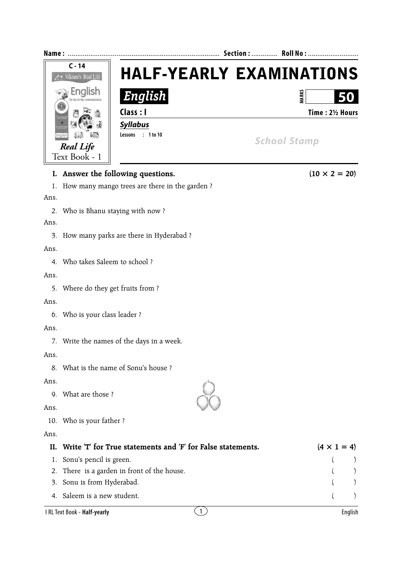

## **I.** Answer the following questions. (10  $\times$  2 = 20) 1. How many mango trees are there in the garden ? Ans. 2. Who is Bhanu staying with now ? Ans. 3. How many parks are there in Hyderabad ? Ans. 4. Who takes Saleem to school ? Ans. 5. Where do they get fruits from ? Ans. 6. Who is your class leader ? Ans. 7. Write the names of the days in a week. Ans. 8. What is the name of Sonu's house ? Ans. 9. What are those ? Ans. 10. Who is your father ? Ans. **II.** Write 'T' for True statements and 'F' for False statements.  $(4 \times 1 = 4)$ 1. Sonu's pencil is green. ( ) 2. There is a garden in front of the house. 3. Sonu is from Hyderabad. ( ) 4. Saleem is a new student. ( ) I RL Text Book - **Half-yearly** 1 English